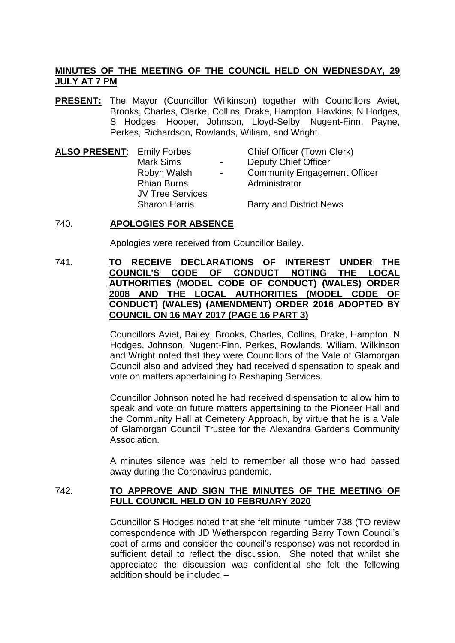# **MINUTES OF THE MEETING OF THE COUNCIL HELD ON WEDNESDAY, 29 JULY AT 7 PM**

**PRESENT:** The Mayor (Councillor Wilkinson) together with Councillors Aviet, Brooks, Charles, Clarke, Collins, Drake, Hampton, Hawkins, N Hodges, S Hodges, Hooper, Johnson, Lloyd-Selby, Nugent-Finn, Payne, Perkes, Richardson, Rowlands, Wiliam, and Wright.

| <b>ALSO PRESENT: Emily Forbes</b> |                         |                          | Chief Officer (Town Clerk)          |
|-----------------------------------|-------------------------|--------------------------|-------------------------------------|
|                                   | <b>Mark Sims</b>        | $\blacksquare$           | <b>Deputy Chief Officer</b>         |
|                                   | Robyn Walsh             | $\overline{\phantom{a}}$ | <b>Community Engagement Officer</b> |
|                                   | <b>Rhian Burns</b>      |                          | Administrator                       |
|                                   | <b>JV Tree Services</b> |                          |                                     |
|                                   | <b>Sharon Harris</b>    |                          | <b>Barry and District News</b>      |

### 740. **APOLOGIES FOR ABSENCE**

Apologies were received from Councillor Bailey.

## 741. **TO RECEIVE DECLARATIONS OF INTEREST UNDER THE COUNCIL'S CODE OF CONDUCT NOTING THE LOCAL AUTHORITIES (MODEL CODE OF CONDUCT) (WALES) ORDER 2008 AND THE LOCAL AUTHORITIES (MODEL CODE OF CONDUCT) (WALES) (AMENDMENT) ORDER 2016 ADOPTED BY COUNCIL ON 16 MAY 2017 (PAGE 16 PART 3)**

Councillors Aviet, Bailey, Brooks, Charles, Collins, Drake, Hampton, N Hodges, Johnson, Nugent-Finn, Perkes, Rowlands, Wiliam, Wilkinson and Wright noted that they were Councillors of the Vale of Glamorgan Council also and advised they had received dispensation to speak and vote on matters appertaining to Reshaping Services.

Councillor Johnson noted he had received dispensation to allow him to speak and vote on future matters appertaining to the Pioneer Hall and the Community Hall at Cemetery Approach, by virtue that he is a Vale of Glamorgan Council Trustee for the Alexandra Gardens Community Association.

A minutes silence was held to remember all those who had passed away during the Coronavirus pandemic.

# 742. **TO APPROVE AND SIGN THE MINUTES OF THE MEETING OF FULL COUNCIL HELD ON 10 FEBRUARY 2020**

Councillor S Hodges noted that she felt minute number 738 (TO review correspondence with JD Wetherspoon regarding Barry Town Council's coat of arms and consider the council's response) was not recorded in sufficient detail to reflect the discussion. She noted that whilst she appreciated the discussion was confidential she felt the following addition should be included –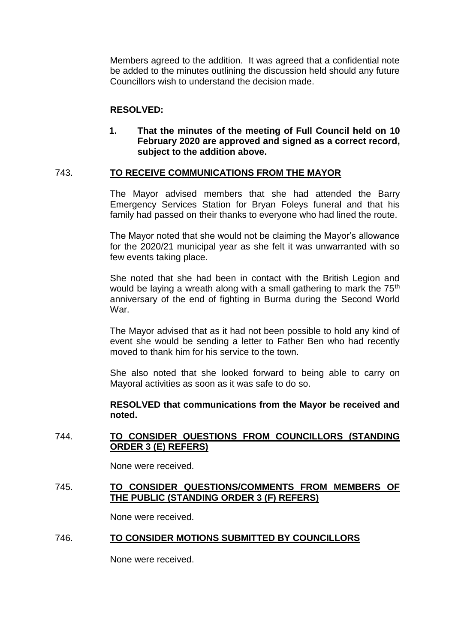Members agreed to the addition. It was agreed that a confidential note be added to the minutes outlining the discussion held should any future Councillors wish to understand the decision made.

## **RESOLVED:**

**1. That the minutes of the meeting of Full Council held on 10 February 2020 are approved and signed as a correct record, subject to the addition above.**

### 743. **TO RECEIVE COMMUNICATIONS FROM THE MAYOR**

The Mayor advised members that she had attended the Barry Emergency Services Station for Bryan Foleys funeral and that his family had passed on their thanks to everyone who had lined the route.

The Mayor noted that she would not be claiming the Mayor's allowance for the 2020/21 municipal year as she felt it was unwarranted with so few events taking place.

She noted that she had been in contact with the British Legion and would be laying a wreath along with a small gathering to mark the 75<sup>th</sup> anniversary of the end of fighting in Burma during the Second World War.

The Mayor advised that as it had not been possible to hold any kind of event she would be sending a letter to Father Ben who had recently moved to thank him for his service to the town.

She also noted that she looked forward to being able to carry on Mayoral activities as soon as it was safe to do so.

**RESOLVED that communications from the Mayor be received and noted.**

# 744. **TO CONSIDER QUESTIONS FROM COUNCILLORS (STANDING ORDER 3 (E) REFERS)**

None were received.

### 745. **TO CONSIDER QUESTIONS/COMMENTS FROM MEMBERS OF THE PUBLIC (STANDING ORDER 3 (F) REFERS)**

None were received.

#### 746. **TO CONSIDER MOTIONS SUBMITTED BY COUNCILLORS**

None were received.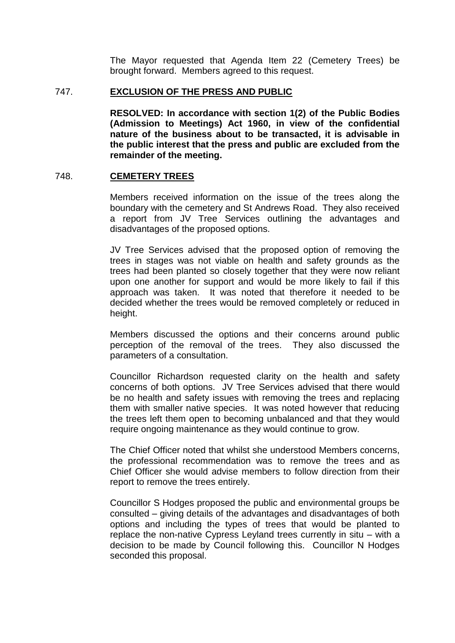The Mayor requested that Agenda Item 22 (Cemetery Trees) be brought forward. Members agreed to this request.

### 747. **EXCLUSION OF THE PRESS AND PUBLIC**

**RESOLVED: In accordance with section 1(2) of the Public Bodies (Admission to Meetings) Act 1960, in view of the confidential nature of the business about to be transacted, it is advisable in the public interest that the press and public are excluded from the remainder of the meeting.**

### 748. **CEMETERY TREES**

Members received information on the issue of the trees along the boundary with the cemetery and St Andrews Road. They also received a report from JV Tree Services outlining the advantages and disadvantages of the proposed options.

JV Tree Services advised that the proposed option of removing the trees in stages was not viable on health and safety grounds as the trees had been planted so closely together that they were now reliant upon one another for support and would be more likely to fail if this approach was taken. It was noted that therefore it needed to be decided whether the trees would be removed completely or reduced in height.

Members discussed the options and their concerns around public perception of the removal of the trees. They also discussed the parameters of a consultation.

Councillor Richardson requested clarity on the health and safety concerns of both options. JV Tree Services advised that there would be no health and safety issues with removing the trees and replacing them with smaller native species. It was noted however that reducing the trees left them open to becoming unbalanced and that they would require ongoing maintenance as they would continue to grow.

The Chief Officer noted that whilst she understood Members concerns, the professional recommendation was to remove the trees and as Chief Officer she would advise members to follow direction from their report to remove the trees entirely.

Councillor S Hodges proposed the public and environmental groups be consulted – giving details of the advantages and disadvantages of both options and including the types of trees that would be planted to replace the non-native Cypress Leyland trees currently in situ – with a decision to be made by Council following this. Councillor N Hodges seconded this proposal.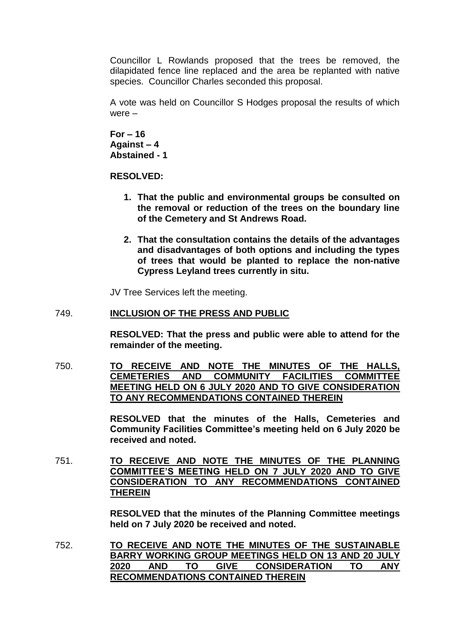Councillor L Rowlands proposed that the trees be removed, the dilapidated fence line replaced and the area be replanted with native species. Councillor Charles seconded this proposal.

A vote was held on Councillor S Hodges proposal the results of which were –

**For – 16 Against – 4 Abstained - 1**

**RESOLVED:**

- **1. That the public and environmental groups be consulted on the removal or reduction of the trees on the boundary line of the Cemetery and St Andrews Road.**
- **2. That the consultation contains the details of the advantages and disadvantages of both options and including the types of trees that would be planted to replace the non-native Cypress Leyland trees currently in situ.**

JV Tree Services left the meeting.

### 749. **INCLUSION OF THE PRESS AND PUBLIC**

**RESOLVED: That the press and public were able to attend for the remainder of the meeting.**

750. **TO RECEIVE AND NOTE THE MINUTES OF THE HALLS, CEMETERIES AND COMMUNITY FACILITIES COMMITTEE MEETING HELD ON 6 JULY 2020 AND TO GIVE CONSIDERATION TO ANY RECOMMENDATIONS CONTAINED THEREIN** 

> **RESOLVED that the minutes of the Halls, Cemeteries and Community Facilities Committee's meeting held on 6 July 2020 be received and noted.**

751. **TO RECEIVE AND NOTE THE MINUTES OF THE PLANNING COMMITTEE'S MEETING HELD ON 7 JULY 2020 AND TO GIVE CONSIDERATION TO ANY RECOMMENDATIONS CONTAINED THEREIN**

> **RESOLVED that the minutes of the Planning Committee meetings held on 7 July 2020 be received and noted.**

752. **TO RECEIVE AND NOTE THE MINUTES OF THE SUSTAINABLE BARRY WORKING GROUP MEETINGS HELD ON 13 AND 20 JULY 2020 AND TO GIVE CONSIDERATION TO ANY RECOMMENDATIONS CONTAINED THEREIN**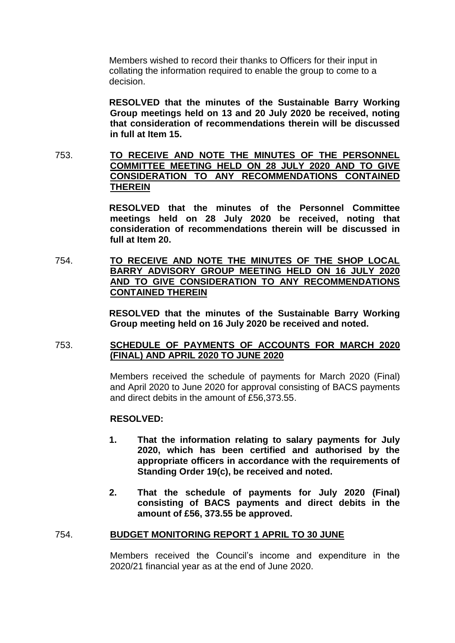Members wished to record their thanks to Officers for their input in collating the information required to enable the group to come to a decision.

**RESOLVED that the minutes of the Sustainable Barry Working Group meetings held on 13 and 20 July 2020 be received, noting that consideration of recommendations therein will be discussed in full at Item 15.**

753. **TO RECEIVE AND NOTE THE MINUTES OF THE PERSONNEL COMMITTEE MEETING HELD ON 28 JULY 2020 AND TO GIVE CONSIDERATION TO ANY RECOMMENDATIONS CONTAINED THEREIN**

> **RESOLVED that the minutes of the Personnel Committee meetings held on 28 July 2020 be received, noting that consideration of recommendations therein will be discussed in full at Item 20.**

754. **TO RECEIVE AND NOTE THE MINUTES OF THE SHOP LOCAL BARRY ADVISORY GROUP MEETING HELD ON 16 JULY 2020 AND TO GIVE CONSIDERATION TO ANY RECOMMENDATIONS CONTAINED THEREIN**

> **RESOLVED that the minutes of the Sustainable Barry Working Group meeting held on 16 July 2020 be received and noted.**

#### 753. **SCHEDULE OF PAYMENTS OF ACCOUNTS FOR MARCH 2020 (FINAL) AND APRIL 2020 TO JUNE 2020**

Members received the schedule of payments for March 2020 (Final) and April 2020 to June 2020 for approval consisting of BACS payments and direct debits in the amount of £56,373.55.

#### **RESOLVED:**

- **1. That the information relating to salary payments for July 2020, which has been certified and authorised by the appropriate officers in accordance with the requirements of Standing Order 19(c), be received and noted.**
- **2. That the schedule of payments for July 2020 (Final) consisting of BACS payments and direct debits in the amount of £56, 373.55 be approved.**

#### 754. **BUDGET MONITORING REPORT 1 APRIL TO 30 JUNE**

Members received the Council's income and expenditure in the 2020/21 financial year as at the end of June 2020.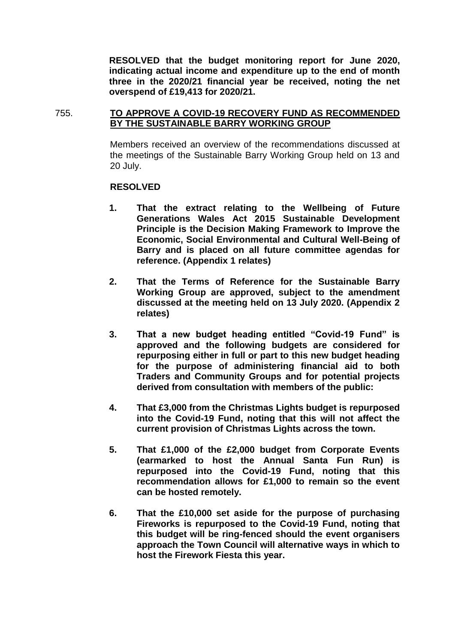**RESOLVED that the budget monitoring report for June 2020, indicating actual income and expenditure up to the end of month three in the 2020/21 financial year be received, noting the net overspend of £19,413 for 2020/21.**

755. **TO APPROVE A COVID-19 RECOVERY FUND AS RECOMMENDED BY THE SUSTAINABLE BARRY WORKING GROUP**

> Members received an overview of the recommendations discussed at the meetings of the Sustainable Barry Working Group held on 13 and 20 July.

#### **RESOLVED**

- **1. That the extract relating to the Wellbeing of Future Generations Wales Act 2015 Sustainable Development Principle is the Decision Making Framework to Improve the Economic, Social Environmental and Cultural Well-Being of Barry and is placed on all future committee agendas for reference. (Appendix 1 relates)**
- **2. That the Terms of Reference for the Sustainable Barry Working Group are approved, subject to the amendment discussed at the meeting held on 13 July 2020. (Appendix 2 relates)**
- **3. That a new budget heading entitled "Covid-19 Fund" is approved and the following budgets are considered for repurposing either in full or part to this new budget heading for the purpose of administering financial aid to both Traders and Community Groups and for potential projects derived from consultation with members of the public:**
- **4. That £3,000 from the Christmas Lights budget is repurposed into the Covid-19 Fund, noting that this will not affect the current provision of Christmas Lights across the town.**
- **5. That £1,000 of the £2,000 budget from Corporate Events (earmarked to host the Annual Santa Fun Run) is repurposed into the Covid-19 Fund, noting that this recommendation allows for £1,000 to remain so the event can be hosted remotely.**
- **6. That the £10,000 set aside for the purpose of purchasing Fireworks is repurposed to the Covid-19 Fund, noting that this budget will be ring-fenced should the event organisers approach the Town Council will alternative ways in which to host the Firework Fiesta this year.**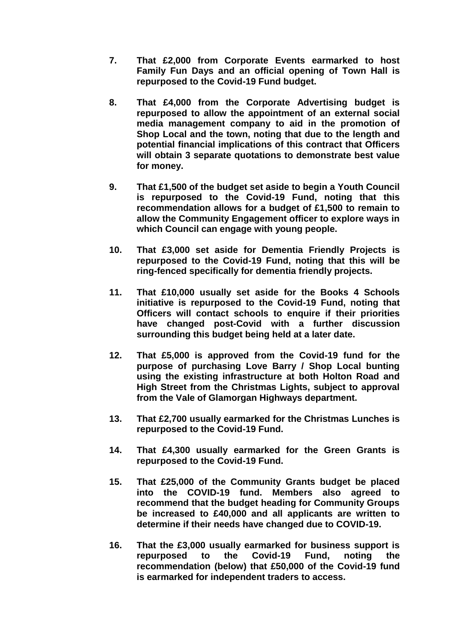- **7. That £2,000 from Corporate Events earmarked to host Family Fun Days and an official opening of Town Hall is repurposed to the Covid-19 Fund budget.**
- **8. That £4,000 from the Corporate Advertising budget is repurposed to allow the appointment of an external social media management company to aid in the promotion of Shop Local and the town, noting that due to the length and potential financial implications of this contract that Officers will obtain 3 separate quotations to demonstrate best value for money.**
- **9. That £1,500 of the budget set aside to begin a Youth Council is repurposed to the Covid-19 Fund, noting that this recommendation allows for a budget of £1,500 to remain to allow the Community Engagement officer to explore ways in which Council can engage with young people.**
- **10. That £3,000 set aside for Dementia Friendly Projects is repurposed to the Covid-19 Fund, noting that this will be ring-fenced specifically for dementia friendly projects.**
- **11. That £10,000 usually set aside for the Books 4 Schools initiative is repurposed to the Covid-19 Fund, noting that Officers will contact schools to enquire if their priorities have changed post-Covid with a further discussion surrounding this budget being held at a later date.**
- **12. That £5,000 is approved from the Covid-19 fund for the purpose of purchasing Love Barry / Shop Local bunting using the existing infrastructure at both Holton Road and High Street from the Christmas Lights, subject to approval from the Vale of Glamorgan Highways department.**
- **13. That £2,700 usually earmarked for the Christmas Lunches is repurposed to the Covid-19 Fund.**
- **14. That £4,300 usually earmarked for the Green Grants is repurposed to the Covid-19 Fund.**
- **15. That £25,000 of the Community Grants budget be placed into the COVID-19 fund. Members also agreed to recommend that the budget heading for Community Groups be increased to £40,000 and all applicants are written to determine if their needs have changed due to COVID-19.**
- **16. That the £3,000 usually earmarked for business support is repurposed to the Covid-19 Fund, noting the recommendation (below) that £50,000 of the Covid-19 fund is earmarked for independent traders to access.**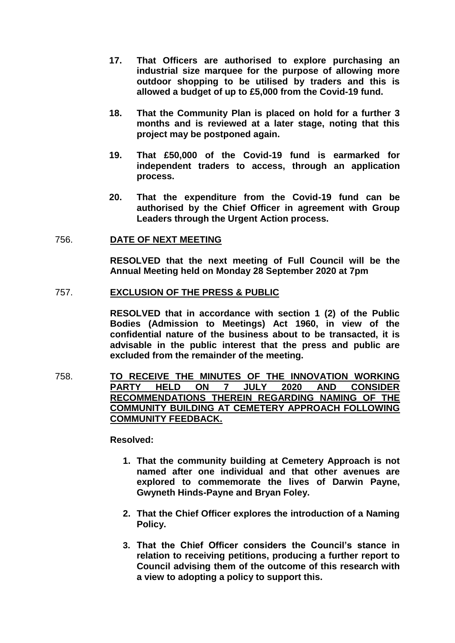- **17. That Officers are authorised to explore purchasing an industrial size marquee for the purpose of allowing more outdoor shopping to be utilised by traders and this is allowed a budget of up to £5,000 from the Covid-19 fund.**
- **18. That the Community Plan is placed on hold for a further 3 months and is reviewed at a later stage, noting that this project may be postponed again.**
- **19. That £50,000 of the Covid-19 fund is earmarked for independent traders to access, through an application process.**
- **20. That the expenditure from the Covid-19 fund can be authorised by the Chief Officer in agreement with Group Leaders through the Urgent Action process.**

#### 756. **DATE OF NEXT MEETING**

**RESOLVED that the next meeting of Full Council will be the Annual Meeting held on Monday 28 September 2020 at 7pm**

#### 757. **EXCLUSION OF THE PRESS & PUBLIC**

**RESOLVED that in accordance with section 1 (2) of the Public Bodies (Admission to Meetings) Act 1960, in view of the confidential nature of the business about to be transacted, it is advisable in the public interest that the press and public are excluded from the remainder of the meeting.**

758. **TO RECEIVE THE MINUTES OF THE INNOVATION WORKING PARTY HELD ON 7 JULY 2020 AND CONSIDER RECOMMENDATIONS THEREIN REGARDING NAMING OF THE COMMUNITY BUILDING AT CEMETERY APPROACH FOLLOWING COMMUNITY FEEDBACK.**

**Resolved:**

- **1. That the community building at Cemetery Approach is not named after one individual and that other avenues are explored to commemorate the lives of Darwin Payne, Gwyneth Hinds-Payne and Bryan Foley.**
- **2. That the Chief Officer explores the introduction of a Naming Policy.**
- **3. That the Chief Officer considers the Council's stance in relation to receiving petitions, producing a further report to Council advising them of the outcome of this research with a view to adopting a policy to support this.**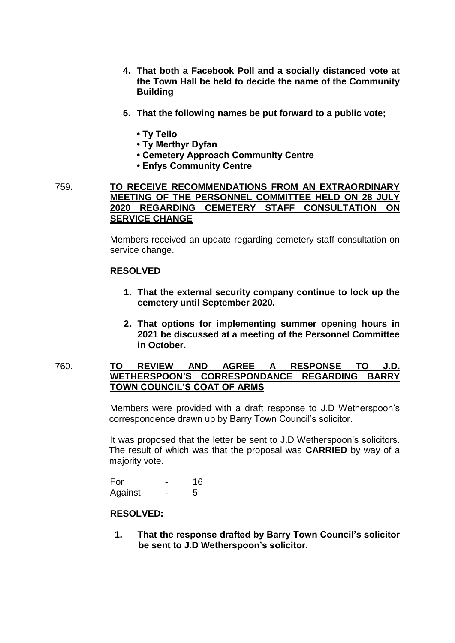- **4. That both a Facebook Poll and a socially distanced vote at the Town Hall be held to decide the name of the Community Building**
- **5. That the following names be put forward to a public vote;** 
	- **Ty Teilo**
	- **Ty Merthyr Dyfan**
	- **Cemetery Approach Community Centre**
	- **Enfys Community Centre**
- 759**. TO RECEIVE RECOMMENDATIONS FROM AN EXTRAORDINARY MEETING OF THE PERSONNEL COMMITTEE HELD ON 28 JULY 2020 REGARDING CEMETERY STAFF CONSULTATION ON SERVICE CHANGE**

Members received an update regarding cemetery staff consultation on service change.

### **RESOLVED**

- **1. That the external security company continue to lock up the cemetery until September 2020.**
- **2. That options for implementing summer opening hours in 2021 be discussed at a meeting of the Personnel Committee in October.**

## 760. **TO REVIEW AND AGREE A RESPONSE TO J.D. WETHERSPOON'S CORRESPONDANCE REGARDING BARRY TOWN COUNCIL'S COAT OF ARMS**

Members were provided with a draft response to J.D Wetherspoon's correspondence drawn up by Barry Town Council's solicitor.

It was proposed that the letter be sent to J.D Wetherspoon's solicitors. The result of which was that the proposal was **CARRIED** by way of a majority vote.

For - 16 Against - 5

# **RESOLVED:**

**1. That the response drafted by Barry Town Council's solicitor be sent to J.D Wetherspoon's solicitor.**